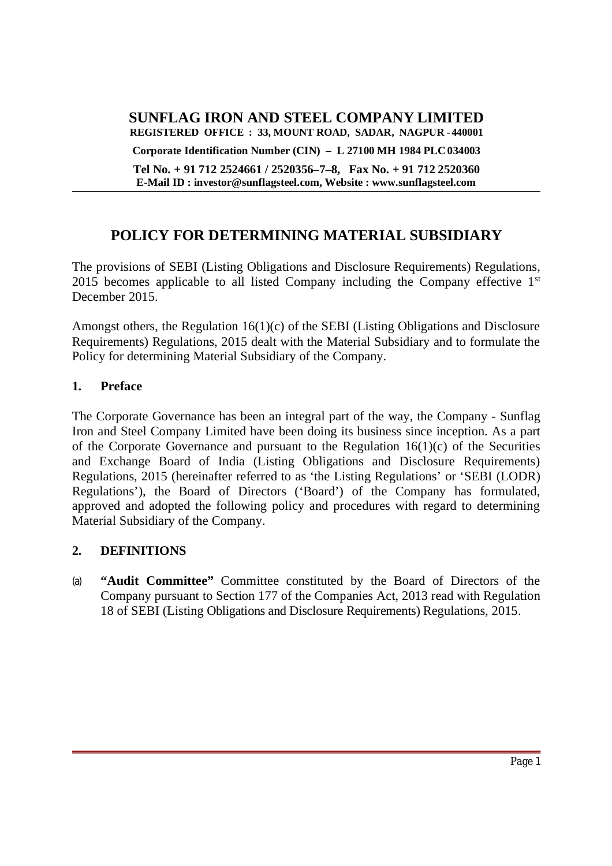**SUNFLAG IRON AND STEEL COMPANY LIMITED REGISTERED OFFICE : 33, MOUNT ROAD, SADAR, NAGPUR - 440001 Corporate Identification Number (CIN) – L 27100 MH 1984 PLC 034003**

**Tel No. + 91 712 2524661 / 2520356–7–8, Fax No. + 91 712 2520360 E-Mail ID : investor@sunflagsteel.com, Website : www.sunflagsteel.com**

# **POLICY FOR DETERMINING MATERIAL SUBSIDIARY**

The provisions of SEBI (Listing Obligations and Disclosure Requirements) Regulations, 2015 becomes applicable to all listed Company including the Company effective  $1<sup>st</sup>$ December 2015.

Amongst others, the Regulation 16(1)(c) of the SEBI (Listing Obligations and Disclosure Requirements) Regulations, 2015 dealt with the Material Subsidiary and to formulate the Policy for determining Material Subsidiary of the Company.

### **1. Preface**

The Corporate Governance has been an integral part of the way, the Company - Sunflag Iron and Steel Company Limited have been doing its business since inception. As a part of the Corporate Governance and pursuant to the Regulation 16(1)(c) of the Securities and Exchange Board of India (Listing Obligations and Disclosure Requirements) Regulations, 2015 (hereinafter referred to as 'the Listing Regulations' or 'SEBI (LODR) Regulations'), the Board of Directors ('Board') of the Company has formulated, approved and adopted the following policy and procedures with regard to determining Material Subsidiary of the Company.

#### **2. DEFINITIONS**

(a) **"Audit Committee"** Committee constituted by the Board of Directors of the Company pursuant to Section 177 of the Companies Act, 2013 read with Regulation 18 of SEBI (Listing Obligations and Disclosure Requirements) Regulations, 2015.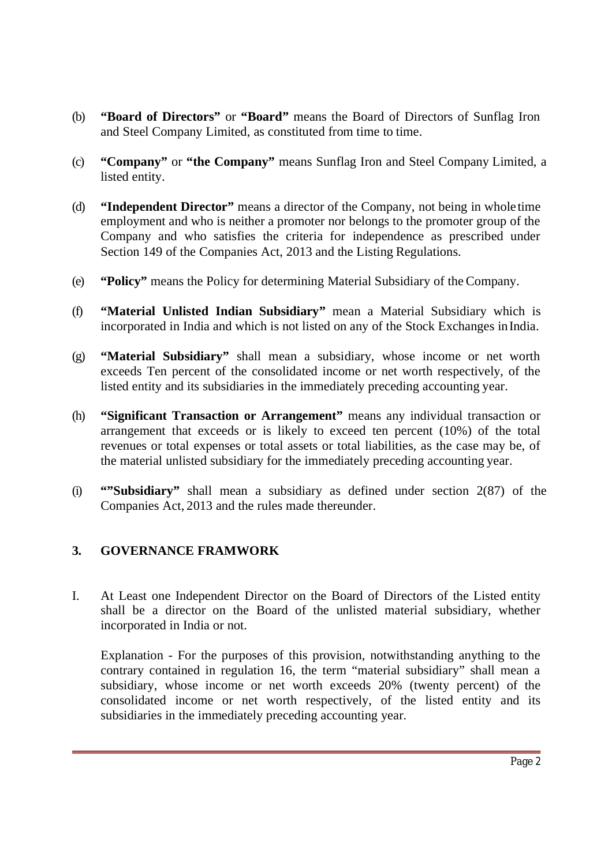- (b) **"Board of Directors"** or **"Board"** means the Board of Directors of Sunflag Iron and Steel Company Limited, as constituted from time to time.
- (c) **"Company"** or **"the Company"** means Sunflag Iron and Steel Company Limited, a listed entity.
- (d) **"Independent Director"** means a director of the Company, not being in whole time employment and who is neither a promoter nor belongs to the promoter group of the Company and who satisfies the criteria for independence as prescribed under Section 149 of the Companies Act, 2013 and the Listing Regulations.
- (e) **"Policy"** means the Policy for determining Material Subsidiary of the Company.
- (f) **"Material Unlisted Indian Subsidiary"** mean a Material Subsidiary which is incorporated in India and which is not listed on any of the Stock Exchanges inIndia.
- (g) **"Material Subsidiary"** shall mean a subsidiary, whose income or net worth exceeds Ten percent of the consolidated income or net worth respectively, of the listed entity and its subsidiaries in the immediately preceding accounting year.
- (h) **"Significant Transaction or Arrangement"** means any individual transaction or arrangement that exceeds or is likely to exceed ten percent (10%) of the total revenues or total expenses or total assets or total liabilities, as the case may be, of the material unlisted subsidiary for the immediately preceding accounting year.
- (i) **""Subsidiary"** shall mean a subsidiary as defined under section 2(87) of the Companies Act, 2013 and the rules made thereunder.

## **3. GOVERNANCE FRAMWORK**

I. At Least one Independent Director on the Board of Directors of the Listed entity shall be a director on the Board of the unlisted material subsidiary, whether incorporated in India or not.

Explanation - For the purposes of this provision, notwithstanding anything to the contrary contained in regulation 16, the term "material subsidiary" shall mean a subsidiary, whose income or net worth exceeds 20% (twenty percent) of the consolidated income or net worth respectively, of the listed entity and its subsidiaries in the immediately preceding accounting year.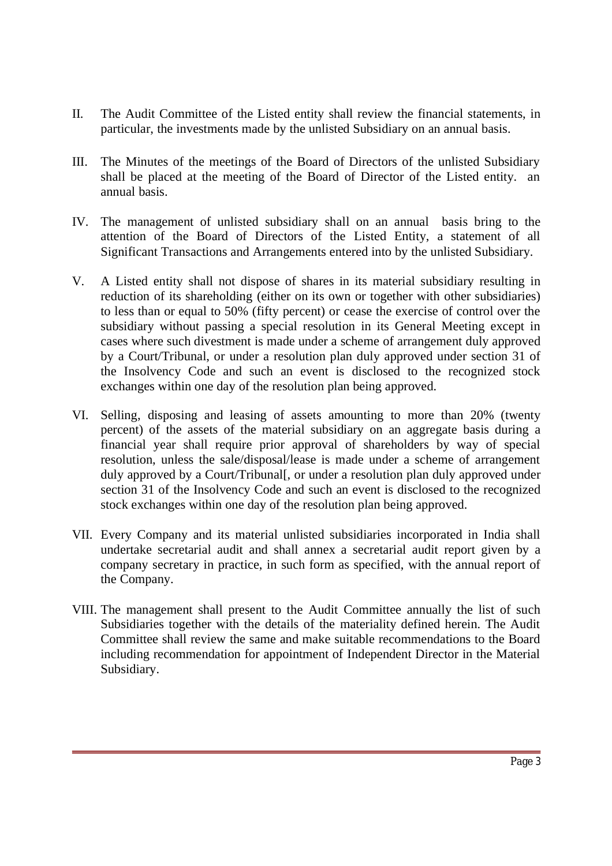- II. The Audit Committee of the Listed entity shall review the financial statements, in particular, the investments made by the unlisted Subsidiary on an annual basis.
- III. The Minutes of the meetings of the Board of Directors of the unlisted Subsidiary shall be placed at the meeting of the Board of Director of the Listed entity. an annual basis.
- IV. The management of unlisted subsidiary shall on an annual basis bring to the attention of the Board of Directors of the Listed Entity, a statement of all Significant Transactions and Arrangements entered into by the unlisted Subsidiary.
- V. A Listed entity shall not dispose of shares in its material subsidiary resulting in reduction of its shareholding (either on its own or together with other subsidiaries) to less than or equal to 50% (fifty percent) or cease the exercise of control over the subsidiary without passing a special resolution in its General Meeting except in cases where such divestment is made under a scheme of arrangement duly approved by a Court/Tribunal, or under a resolution plan duly approved under section 31 of the Insolvency Code and such an event is disclosed to the recognized stock exchanges within one day of the resolution plan being approved.
- VI. Selling, disposing and leasing of assets amounting to more than 20% (twenty percent) of the assets of the material subsidiary on an aggregate basis during a financial year shall require prior approval of shareholders by way of special resolution, unless the sale/disposal/lease is made under a scheme of arrangement duly approved by a Court/Tribunal<sub>[,</sub> or under a resolution plan duly approved under section 31 of the Insolvency Code and such an event is disclosed to the recognized stock exchanges within one day of the resolution plan being approved.
- VII. Every Company and its material unlisted subsidiaries incorporated in India shall undertake secretarial audit and shall annex a secretarial audit report given by a company secretary in practice, in such form as specified, with the annual report of the Company.
- VIII. The management shall present to the Audit Committee annually the list of such Subsidiaries together with the details of the materiality defined herein. The Audit Committee shall review the same and make suitable recommendations to the Board including recommendation for appointment of Independent Director in the Material Subsidiary.